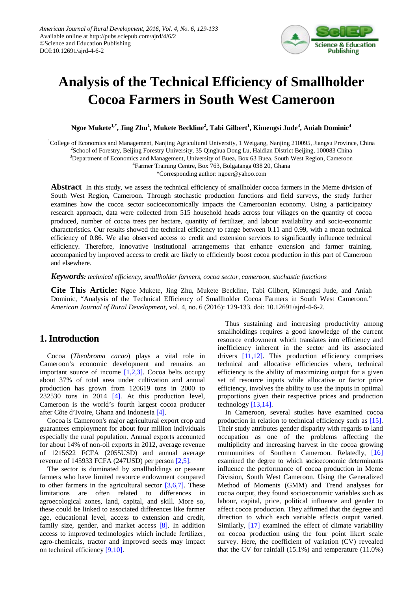

# **Analysis of the Technical Efficiency of Smallholder Cocoa Farmers in South West Cameroon**

**Ngoe Mukete1,\*, Jing Zhu1 , Mukete Beckline<sup>2</sup> , Tabi Gilbert<sup>1</sup> , Kimengsi Jude<sup>3</sup> , Aniah Dominic<sup>4</sup>**

<sup>1</sup>College of Economics and Management, Nanjing Agricultural University, 1 Weigang, Nanjing 210095, Jiangsu Province, China

<sup>2</sup>School of Forestry, Beijing Forestry University, 35 Qinghua Dong Lu, Haidian District Beijing, 100083 China

3 Department of Economics and Management, University of Buea, Box 63 Buea, South West Region, Cameroon

4 Farmer Training Centre, Box 763, Bolgatanga 038 20, Ghana

\*Corresponding author: ngoer@yahoo.com

**Abstract** In this study, we assess the technical efficiency of smallholder cocoa farmers in the Meme division of South West Region, Cameroon. Through stochastic production functions and field surveys, the study further examines how the cocoa sector socioeconomically impacts the Cameroonian economy. Using a participatory research approach, data were collected from 515 household heads across four villages on the quantity of cocoa produced, number of cocoa trees per hectare, quantity of fertilizer, and labour availability and socio-economic characteristics. Our results showed the technical efficiency to range between 0.11 and 0.99, with a mean technical efficiency of 0.86. We also observed access to credit and extension services to significantly influence technical efficiency. Therefore, innovative institutional arrangements that enhance extension and farmer training, accompanied by improved access to credit are likely to efficiently boost cocoa production in this part of Cameroon and elsewhere.

*Keywords: technical efficiency, smallholder farmers, cocoa sector, cameroon, stochastic functions*

**Cite This Article:** Ngoe Mukete, Jing Zhu, Mukete Beckline, Tabi Gilbert, Kimengsi Jude, and Aniah Dominic, "Analysis of the Technical Efficiency of Smallholder Cocoa Farmers in South West Cameroon." *American Journal of Rural Development*, vol. 4, no. 6 (2016): 129-133. doi: 10.12691/ajrd-4-6-2.

## **1. Introduction**

Cocoa (*Theobroma cacao*) plays a vital role in Cameroon's economic development and remains an important source of income [\[1,2,3\].](#page-4-0) Cocoa belts occupy about 37% of total area under cultivation and annual production has grown from 120619 tons in 2000 to 232530 tons in 2014 [\[4\].](#page-4-1) At this production level, Cameroon is the world's fourth largest cocoa producer after Côte d'Ivoire, Ghana and Indonesia [\[4\].](#page-4-1)

Cocoa is Cameroon's major agricultural export crop and guarantees employment for about four million individuals especially the rural population. Annual exports accounted for about 14% of non-oil exports in 2012, average revenue of 1215622 FCFA (2055USD) and annual average revenue of 145933 FCFA (247USD) per person [\[2,5\].](#page-4-2)

The sector is dominated by smallholdings or peasant farmers who have limited resource endowment compared to other farmers in the agricultural sector  $[3,6,7]$ . These limitations are often related to differences in agroecological zones, land, capital, and skill. More so, these could be linked to associated differences like farmer age, educational level, access to extension and credit, family size, gender, and market access [\[8\].](#page-4-4) In addition access to improved technologies which include fertilizer, agro-chemicals, tractor and improved seeds may impact on technical efficiency [\[9,10\].](#page-4-5)

Thus sustaining and increasing productivity among smallholdings requires a good knowledge of the current resource endowment which translates into efficiency and inefficiency inherent in the sector and its associated drivers [\[11,12\].](#page-4-6) This production efficiency comprises technical and allocative efficiencies where, technical efficiency is the ability of maximizing output for a given set of resource inputs while allocative or factor price efficiency, involves the ability to use the inputs in optimal proportions given their respective prices and production technology [\[13,14\].](#page-4-7) 

In Cameroon, several studies have examined cocoa production in relation to technical efficiency such as [\[15\].](#page-4-8) Their study attributes gender disparity with regards to land occupation as one of the problems affecting the multiplicity and increasing harvest in the cocoa growing communities of Southern Cameroon. Relatedly, [\[16\]](#page-4-9) examined the degree to which socioeconomic determinants influence the performance of cocoa production in Meme Division, South West Cameroon. Using the Generalized Method of Moments (GMM) and Trend analyses for cocoa output, they found socioeconomic variables such as labour, capital, price, political influence and gender to affect cocoa production. They affirmed that the degree and direction to which each variable affects output varied. Similarly, [\[17\]](#page-4-10) examined the effect of climate variability on cocoa production using the four point likert scale survey. Here, the coefficient of variation (CV) revealed that the CV for rainfall (15.1%) and temperature (11.0%)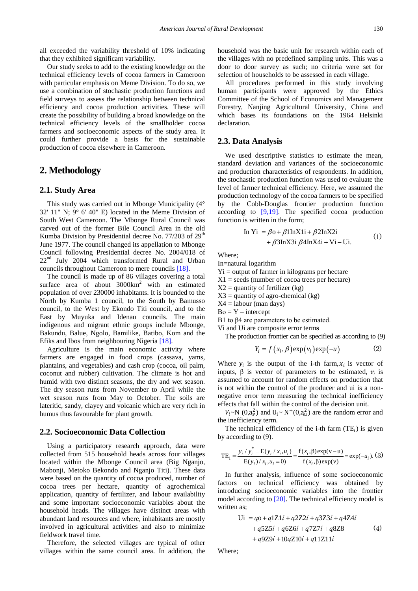all exceeded the variability threshold of 10% indicating that they exhibited significant variability.

Our study seeks to add to the existing knowledge on the technical efficiency levels of cocoa farmers in Cameroon with particular emphasis on Meme Division. To do so, we use a combination of stochastic production functions and field surveys to assess the relationship between technical efficiency and cocoa production activities. These will create the possibility of building a broad knowledge on the technical efficiency levels of the smallholder cocoa farmers and socioeconomic aspects of the study area. It could further provide a basis for the sustainable production of cocoa elsewhere in Cameroon.

## **2. Methodology**

#### **2.1. Study Area**

This study was carried out in Mbonge Municipality (4° 32' 11" N; 9° 6' 40" E) located in the Meme Division of South West Cameroon. The Mbonge Rural Council was carved out of the former Bile Council Area in the old Kumba Division by Presidential decree No.  $77/203$  of  $29<sup>th</sup>$ June 1977. The council changed its appellation to Mbonge Council following Presidential decree No. 2004/018 of 22<sup>nd</sup> July 2004 which transformed Rural and Urban councils throughout Cameroon to mere councils [\[18\].](#page-4-11)

The council is made up of 86 villages covering a total surface area of about  $3000 \text{km}^2$  with an estimated population of over 230000 inhabitants. It is bounded to the North by Kumba 1 council, to the South by Bamusso council, to the West by Ekondo Titi council, and to the East by Muyuka and Idenau councils. The main indigenous and migrant ethnic groups include Mbonge, Bakundu, Balue, Ngolo, Bamilike, Batibo, Kom and the Efiks and Ibos from neighbouring Nigeria [\[18\].](#page-4-11)

Agriculture is the main economic activity where farmers are engaged in food crops (cassava, yams, plantains, and vegetables) and cash crop (cocoa, oil palm, coconut and rubber) cultivation. The climate is hot and humid with two distinct seasons, the dry and wet season. The dry season runs from November to April while the wet season runs from May to October. The soils are lateritic, sandy, clayey and volcanic which are very rich in humus thus favourable for plant growth.

#### **2.2. Socioeconomic Data Collection**

Using a participatory research approach, data were collected from 515 household heads across four villages located within the Mbonge Council area (Big Nganjo, Mabonji, Metoko Bekondo and Nganjo Titi). These data were based on the quantity of cocoa produced, number of cocoa trees per hectare, quantity of agrochemical application, quantity of fertilizer, and labour availability and some important socioeconomic variables about the household heads. The villages have distinct areas with abundant land resources and where, inhabitants are mostly involved in agricultural activities and also to minimize fieldwork travel time.

Therefore, the selected villages are typical of other villages within the same council area. In addition, the household was the basic unit for research within each of the villages with no predefined sampling units. This was a door to door survey as such; no criteria were set for selection of households to be assessed in each village.

All procedures performed in this study involving human participants were approved by the Ethics Committee of the School of Economics and Management Forestry, Nanjing Agricultural University, China and which bases its foundations on the 1964 Helsinki declaration.

#### **2.3. Data Analysis**

We used descriptive statistics to estimate the mean, standard deviation and variances of the socioeconomic and production characteristics of respondents. In addition, the stochastic production function was used to evaluate the level of farmer technical efficiency. Here, we assumed the production technology of the cocoa farmers to be specified by the Cobb-Douglas frontier production function according to [\[9,19\].](#page-4-5) The specified cocoa production function is written in the form;

In Yi = 
$$
\beta o + \beta 1 \ln X 1i + \beta 2 \ln X 2i
$$
  
+  $\beta 3 \ln X 3i \beta 4 \ln X 4i + Vi -Ui.$  (1)

Where;

In=natural logarithm

 $Y_i$  = output of farmer in kilograms per hectare

 $X1 =$  seeds (number of cocoa trees per hectare)

 $X2$  = quantity of fertilizer (kg)

 $X3$  = quantity of agro-chemical (kg)

 $X4 =$ labour (man days)

 $Bo = Y - intercept$ 

Β1 to β4 are parameters to be estimated.

Vi and Ui are composite error term**s**

The production frontier can be specified as according to (9)

$$
Y_i = f(x_i, \beta) \exp(v_i) \exp(-u)
$$
 (2)

Where  $y_i$  is the output of the i-th farm,  $x_i$  is vector of inputs,  $\beta$  is vector of parameters to be estimated,  $v_i$  is assumed to account for random effects on production that is not within the control of the producer and ui is a nonnegative error term measuring the technical inefficiency effects that fall within the control of the decision unit.

 $V_i \sim N(0, a_v^2)$  and  $U_i \sim N^+(0, a_u^2)$  are the random error and the inefficiency term.

The technical efficiency of the i-th farm  $(TE_i)$  is given by according to (9).

$$
TE_{i} = \frac{y_{i} / y_{i}^{*} = E(y_{i} / x_{i}, u_{i})}{E(y_{i}) / x_{i}, u_{i} = 0} = \frac{f(x_{i}, \beta) \exp(v - u)}{f(x_{i}, \beta) \exp(v)} = \exp(-u_{i}).
$$
 (3)

In further analysis, influence of some socioeconomic factors on technical efficiency was obtained by introducing socioeconomic variables into the frontier model according to [\[20\].](#page-4-12) The technical efficiency model is written as;

$$
Ui = qo + q1Z1i + q2Z2i + q3Z3i + q4Z4i + q5Z5i + q6Z6i + q7Z7i + q8Z8
$$
 (4)  
+ q9Z9i + 10qZ10i + q11Z11i

Where;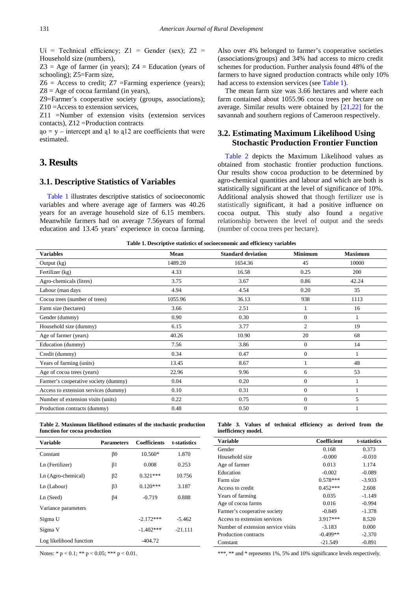$U$ *i* = Technical efficiency;  $Z1$  = Gender (sex);  $Z2$  = Household size (numbers),

 $Z3$  = Age of farmer (in years);  $Z4$  = Education (years of schooling); Z5=Farm size,

 $Z6$  = Access to credit;  $Z7$  = Farming experience (years);  $Z8 = \text{Age of cocoa farmland (in years)}$ ,

Z9=Farmer's cooperative society (groups, associations); Z10 =Access to extension services,

Z11 =Number of extension visits (extension services contacts), Z12 =Production contracts

 $q_0 = y$  – intercept and all to all are coefficients that were estimated.

## **3. Results**

#### **3.1. Descriptive Statistics of Variables**

[Table 1](#page-2-0) illustrates descriptive statistics of socioeconomic variables and where average age of farmers was 40.26 years for an average household size of 6.15 members. Meanwhile farmers had on average 7.56years of formal education and 13.45 years' experience in cocoa farming.

Also over 4% belonged to farmer's cooperative societies (associations/groups) and 34% had access to micro credit schemes for production. Further analysis found 48% of the farmers to have signed production contracts while only 10% had access to extension services (se[e Table 1\)](#page-2-0).

The mean farm size was 3.66 hectares and where each farm contained about 1055.96 cocoa trees per hectare on average. Similar results were obtained by [\[21,22\]](#page-4-13) for the savannah and southern regions of Cameroon respectively.

### **3.2. Estimating Maximum Likelihood Using Stochastic Production Frontier Function**

[Table 2](#page-2-1) depicts the Maximum Likelihood values as obtained from stochastic frontier production functions. Our results show cocoa production to be determined by agro-chemical quantities and labour and which are both is statistically significant at the level of significance of 10%. Additional analysis showed that though fertilizer use is statistically significant, it had a positive influence on cocoa output. This study also found a negative relationship between the level of output and the seeds (number of cocoa trees per hectare).

|  |  | Table 1. Descriptive statistics of socioeconomic and efficiency variables |  |  |
|--|--|---------------------------------------------------------------------------|--|--|
|  |  |                                                                           |  |  |

<span id="page-2-0"></span>

| Lable 1. Descriptive statistics of socioeconomic and efficiency variables |         |                           |                |                |  |  |
|---------------------------------------------------------------------------|---------|---------------------------|----------------|----------------|--|--|
| <b>Variables</b>                                                          | Mean    | <b>Standard deviation</b> | <b>Minimum</b> | <b>Maximum</b> |  |  |
| Output $(kg)$                                                             | 1489.20 | 1654.36                   | 45             | 10000          |  |  |
| Fertilizer (kg)                                                           | 4.33    | 16.58                     | 0.25           | 200            |  |  |
| Agro-chemicals (litres)                                                   | 3.75    | 3.67                      | 0.86           | 42.24          |  |  |
| Labour (man days                                                          | 4.94    | 4.54                      | 0.20           | 35             |  |  |
| Cocoa trees (number of trees)                                             | 1055.96 | 36.13                     | 938            | 1113           |  |  |
| Farm size (hectares)                                                      | 3.66    | 2.51                      |                | 16             |  |  |
| Gender (dummy)                                                            | 0.90    | 0.30                      | $\mathbf{0}$   |                |  |  |
| Household size (dummy)                                                    | 6.15    | 3.77                      | $\overline{c}$ | 19             |  |  |
| Age of farmer (years)                                                     | 40.26   | 10.90                     | 20             | 68             |  |  |
| Education (dummy)                                                         | 7.56    | 3.86                      | $\mathbf{0}$   | 14             |  |  |
| Credit (dummy)                                                            | 0.34    | 0.47                      | $\mathbf{0}$   |                |  |  |
| Years of farming (units)                                                  | 13.45   | 8.67                      |                | 48             |  |  |
| Age of cocoa trees (years)                                                | 22.96   | 9.96                      | 6              | 53             |  |  |
| Farmer's cooperative society (dummy)                                      | 0.04    | 0.20                      | $\mathbf{0}$   |                |  |  |
| Access to extension services (dummy)                                      | 0.10    | 0.31                      | $\mathbf{0}$   |                |  |  |
| Number of extension visits (units)                                        | 0.22    | 0.75                      | $\mathbf{0}$   | 5              |  |  |
| Production contracts (dummy)                                              | 0.48    | 0.50                      | $\Omega$       |                |  |  |
|                                                                           |         |                           |                |                |  |  |

**Table 2. Maximum likelihood estimates of the stochastic production function for cocoa production**

<span id="page-2-1"></span>

| <b>Variable</b>         | <b>Parameters</b> | <b>Coefficients</b> | t-statistics |
|-------------------------|-------------------|---------------------|--------------|
| Constant                | $\beta 0$         | $10.560*$           | 1.870        |
| Ln (Fertilizer)         | $\beta$ 1         | 0.008               | 0.253        |
| Ln (Agro-chemical)      | $\beta$ 2         | $0.321***$          | 10.756       |
| Ln (Labour)             | $\beta$ 3         | $0.120***$          | 3.187        |
| Ln (Seed)               | ß4                | $-0.719$            | 0.888        |
| Variance parameters     |                   |                     |              |
| Sigma U                 |                   | $-2.172***$         | $-5.462$     |
| Sigma V                 |                   | $-1.402***$         | $-21.111$    |
| Log likelihood function |                   | $-404.72$           |              |

**Table 3. Values of technical efficiency as derived from the inefficiency model.**

<span id="page-2-2"></span>

| Variable                           | Coefficient | t-statistics |
|------------------------------------|-------------|--------------|
| Gender                             | 0.168       | 0.373        |
| Household size                     | $-0.000$    | $-0.010$     |
| Age of farmer                      | 0.013       | 1.174        |
| Education                          | $-0.002$    | $-0.089$     |
| Farm size                          | $0.578***$  | $-3.933$     |
| Access to credit                   | $0.452***$  | 2.608        |
| Years of farming                   | 0.035       | $-1.149$     |
| Age of cocoa farms                 | 0.016       | $-0.994$     |
| Farmer's cooperative society       | $-0.849$    | $-1.378$     |
| Access to extension services       | 3.917***    | 8.520        |
| Number of extension service visits | $-3.183$    | 0.000        |
| Production contracts               | $-0.499**$  | $-2.370$     |
| Constant                           | $-21.549$   | $-0.891$     |

Notes: \*  $p < 0.1$ ; \*\*  $p < 0.05$ ; \*\*\*  $p < 0.01$ .

\*\*\*, \*\* and \* represents 1%, 5% and 10% significance levels respectively.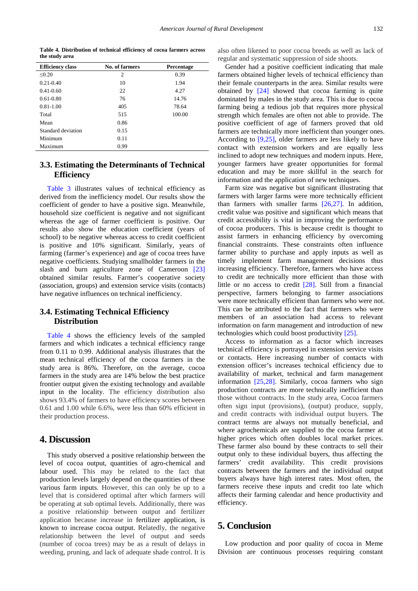**Table 4. Distribution of technical efficiency of cocoa farmers across the study area**

<span id="page-3-0"></span>

| <b>Efficiency class</b> | No. of farmers | Percentage |  |
|-------------------------|----------------|------------|--|
| < 0.20                  | $\overline{c}$ | 0.39       |  |
| $0.21 - 0.40$           | 10             | 1.94       |  |
| $0.41 - 0.60$           | 22             | 4.27       |  |
| $0.61 - 0.80$           | 76             | 14.76      |  |
| $0.81 - 1.00$           | 405            | 78.64      |  |
| Total                   | 515            | 100.00     |  |
| Mean                    | 0.86           |            |  |
| Standard deviation      | 0.15           |            |  |
| Minimum                 | 0.11           |            |  |
| Maximum                 | 0.99           |            |  |

## **3.3. Estimating the Determinants of Technical Efficiency**

[Table 3](#page-2-2) illustrates values of technical efficiency as derived from the inefficiency model. Our results show the coefficient of gender to have a positive sign. Meanwhile, household size coefficient is negative and not significant whereas the age of farmer coefficient is positive. Our results also show the education coefficient (years of school) to be negative whereas access to credit coefficient is positive and 10% significant. Similarly, years of farming (farmer's experience) and age of cocoa trees have negative coefficients. Studying smallholder farmers in the slash and burn agriculture zone of Cameroon [\[23\]](#page-4-14) obtained similar results. Farmer's cooperative society (association, groups) and extension service visits (contacts) have negative influences on technical inefficiency.

#### **3.4. Estimating Technical Efficiency Distribution**

[Table 4](#page-3-0) shows the efficiency levels of the sampled farmers and which indicates a technical efficiency range from 0.11 to 0.99. Additional analysis illustrates that the mean technical efficiency of the cocoa farmers in the study area is 86%. Therefore, on the average, cocoa farmers in the study area are 14% below the best practice frontier output given the existing technology and available input in the locality. The efficiency distribution also shows 93.4% of farmers to have efficiency scores between 0.61 and 1.00 while 6.6%, were less than 60% efficient in their production process.

#### **4. Discussion**

This study observed a positive relationship between the level of cocoa output, quantities of agro-chemical and labour used. This may be related to the fact that production levels largely depend on the quantities of these various farm inputs. However, this can only be up to a level that is considered optimal after which farmers will be operating at sub optimal levels. Additionally, there was a positive relationship between output and fertilizer application because increase in fertilizer application, is known to increase cocoa output. Relatedly, the negative relationship between the level of output and seeds (number of cocoa trees) may be as a result of delays in weeding, pruning, and lack of adequate shade control. It is also often likened to poor cocoa breeds as well as lack of regular and systematic suppression of side shoots.

Gender had a positive coefficient indicating that male farmers obtained higher levels of technical efficiency than their female counterparts in the area. Similar results were obtained by [\[24\]](#page-4-15) showed that cocoa farming is quite dominated by males in the study area. This is due to cocoa farming being a tedious job that requires more physical strength which females are often not able to provide. The positive coefficient of age of farmers proved that old farmers are technically more inefficient than younger ones. According to [\[9,25\],](#page-4-5) older farmers are less likely to have contact with extension workers and are equally less inclined to adopt new techniques and modern inputs. Here, younger farmers have greater opportunities for formal education and may be more skillful in the search for information and the application of new techniques.

Farm size was negative but significant illustrating that farmers with larger farms were more technically efficient than farmers with smaller farms [\[26,27\].](#page-4-16) In addition, credit value was positive and significant which means that credit accessibility is vital in improving the performance of cocoa producers. This is because credit is thought to assist farmers in enhancing efficiency by overcoming financial constraints. These constraints often influence farmer ability to purchase and apply inputs as well as timely implement farm management decisions thus increasing efficiency. Therefore, farmers who have access to credit are technically more efficient than those with little or no access to credit [\[28\].](#page-4-17) Still from a financial perspective, farmers belonging to farmer associations were more technically efficient than farmers who were not. This can be attributed to the fact that farmers who were members of an association had access to relevant information on farm management and introduction of new technologies which could boost productivity [\[25\].](#page-4-18)

Access to information as a factor which increases technical efficiency is portrayed in extension service visits or contacts. Here increasing number of contacts with extension officer's increases technical efficiency due to availability of market, technical and farm management information [\[25,28\].](#page-4-18) Similarly, cocoa farmers who sign production contracts are more technically inefficient than those without contracts. In the study area, Cocoa farmers often sign input (provisions), (output) produce, supply, and credit contracts with individual output buyers. The contract terms are always not mutually beneficial, and where agrochemicals are supplied to the cocoa farmer at higher prices which often doubles local market prices. These farmer also bound by these contracts to sell their output only to these individual buyers, thus affecting the farmers' credit availability. This credit provisions contracts between the farmers and the individual output buyers always have high interest rates. Most often, the farmers receive these inputs and credit too late which affects their farming calendar and hence productivity and efficiency.

# **5. Conclusion**

Low production and poor quality of cocoa in Meme Division are continuous processes requiring constant